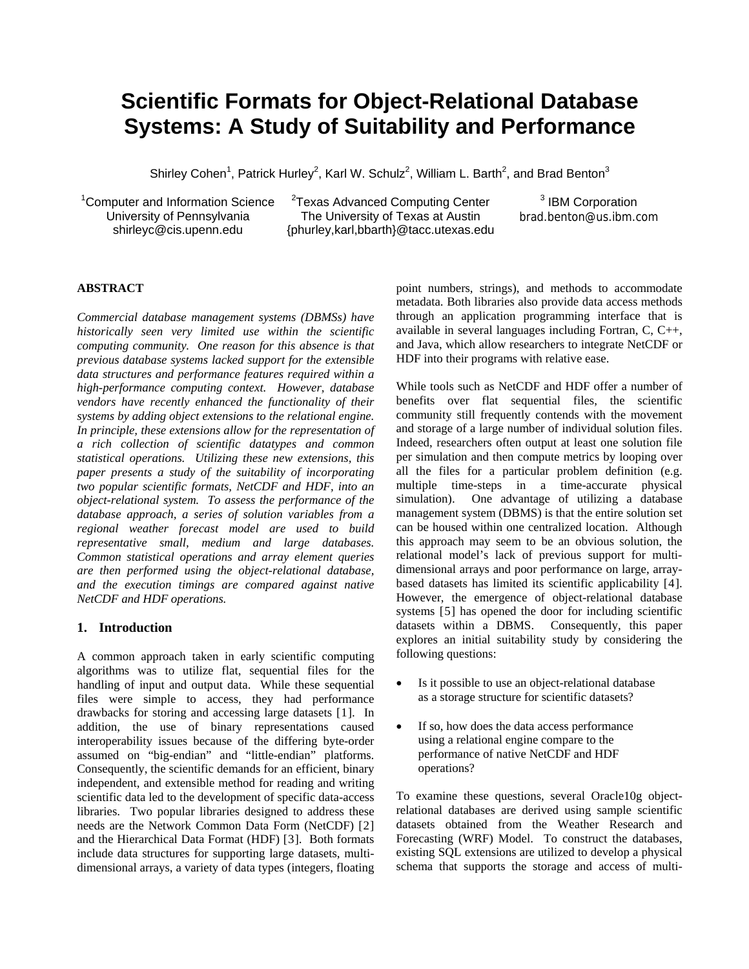# **Scientific Formats for Object-Relational Database Systems: A Study of Suitability and Performance**

Shirley Cohen<sup>1</sup>, Patrick Hurley<sup>2</sup>, Karl W. Schulz<sup>2</sup>, William L. Barth<sup>2</sup>, and Brad Benton<sup>3</sup>

<sup>1</sup>Computer and Information Science University of Pennsylvania shirleyc@cis.upenn.edu

<sup>2</sup>Texas Advanced Computing Center The University of Texas at Austin {phurley,karl,bbarth}@tacc.utexas.edu

<sup>3</sup> IBM Corporation brad.benton@us.ibm.com

#### **ABSTRACT**

*Commercial database management systems (DBMSs) have historically seen very limited use within the scientific computing community. One reason for this absence is that previous database systems lacked support for the extensible data structures and performance features required within a high-performance computing context. However, database vendors have recently enhanced the functionality of their systems by adding object extensions to the relational engine. In principle, these extensions allow for the representation of a rich collection of scientific datatypes and common statistical operations. Utilizing these new extensions, this paper presents a study of the suitability of incorporating two popular scientific formats, NetCDF and HDF, into an object-relational system. To assess the performance of the database approach, a series of solution variables from a regional weather forecast model are used to build representative small, medium and large databases. Common statistical operations and array element queries are then performed using the object-relational database, and the execution timings are compared against native NetCDF and HDF operations.* 

#### **1. Introduction**

A common approach taken in early scientific computing algorithms was to utilize flat, sequential files for the handling of input and output data. While these sequential files were simple to access, they had performance drawbacks for storing and accessing large datasets [[1](#page-5-0)]. In addition, the use of binary representations caused interoperability issues because of the differing byte-order assumed on "big-endian" and "little-endian" platforms. Consequently, the scientific demands for an efficient, binary independent, and extensible method for reading and writing scientific data led to the development of specific data-access libraries. Two popular libraries designed to address these needs are the Network Common Data Form (NetCDF) [[2](#page-5-1)] and the Hierarchical Data Format (HDF) [[3](#page-5-1)]. Both formats include data structures for supporting large datasets, multidimensional arrays, a variety of data types (integers, floating

point numbers, strings), and methods to accommodate metadata. Both libraries also provide data access methods through an application programming interface that is available in several languages including Fortran, C, C++, and Java, which allow researchers to integrate NetCDF or HDF into their programs with relative ease.

While tools such as NetCDF and HDF offer a number of benefits over flat sequential files, the scientific community still frequently contends with the movement and storage of a large number of individual solution files. Indeed, researchers often output at least one solution file per simulation and then compute metrics by looping over all the files for a particular problem definition (e.g. multiple time-steps in a time-accurate physical simulation). One advantage of utilizing a database management system (DBMS) is that the entire solution set can be housed within one centralized location. Although this approach may seem to be an obvious solution, the relational model's lack of previous support for multidimensional arrays and poor performance on large, arraybased datasets has limited its scientific applicability [[4](#page-5-1)]. However, the emergence of object-relational database systems [[5](#page-5-1)] has opened the door for including scientific datasets within a DBMS. Consequently, this paper explores an initial suitability study by considering the following questions:

- Is it possible to use an object-relational database as a storage structure for scientific datasets?
- If so, how does the data access performance using a relational engine compare to the performance of native NetCDF and HDF operations?

To examine these questions, several Oracle10g objectrelational databases are derived using sample scientific datasets obtained from the Weather Research and Forecasting (WRF) Model. To construct the databases, existing SQL extensions are utilized to develop a physical schema that supports the storage and access of multi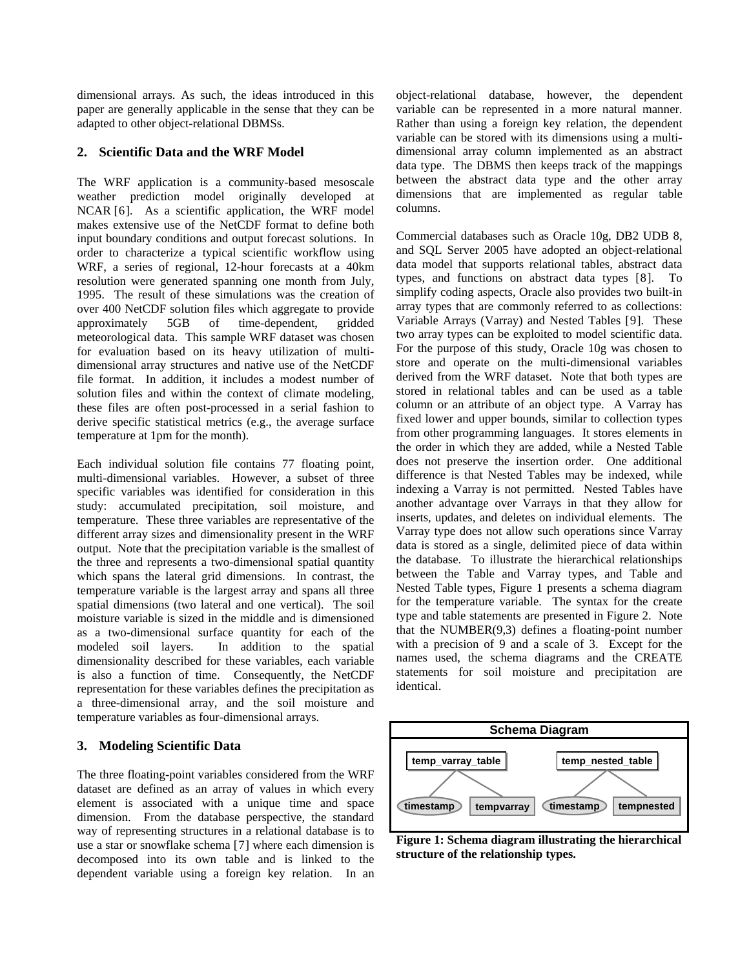dimensional arrays. As such, the ideas introduced in this paper are generally applicable in the sense that they can be adapted to other object-relational DBMSs.

## **2. Scientific Data and the WRF Model**

The WRF application is a community-based mesoscale weather prediction model originally developed at NCAR [[6](#page-5-1)]. As a scientific application, the WRF model makes extensive use of the NetCDF format to define both input boundary conditions and output forecast solutions. In order to characterize a typical scientific workflow using WRF, a series of regional, 12-hour forecasts at a 40km resolution were generated spanning one month from July, 1995. The result of these simulations was the creation of over 400 NetCDF solution files which aggregate to provide approximately 5GB of time-dependent, gridded meteorological data. This sample WRF dataset was chosen for evaluation based on its heavy utilization of multidimensional array structures and native use of the NetCDF file format. In addition, it includes a modest number of solution files and within the context of climate modeling, these files are often post-processed in a serial fashion to derive specific statistical metrics (e.g., the average surface temperature at 1pm for the month).

Each individual solution file contains 77 floating point, multi-dimensional variables. However, a subset of three specific variables was identified for consideration in this study: accumulated precipitation, soil moisture, and temperature. These three variables are representative of the different array sizes and dimensionality present in the WRF output. Note that the precipitation variable is the smallest of the three and represents a two-dimensional spatial quantity which spans the lateral grid dimensions. In contrast, the temperature variable is the largest array and spans all three spatial dimensions (two lateral and one vertical). The soil moisture variable is sized in the middle and is dimensioned as a two-dimensional surface quantity for each of the modeled soil layers. In addition to the spatial dimensionality described for these variables, each variable is also a function of time. Consequently, the NetCDF representation for these variables defines the precipitation as a three-dimensional array, and the soil moisture and temperature variables as four-dimensional arrays.

## **3. Modeling Scientific Data**

<span id="page-1-0"></span>The three floating-point variables considered from the WRF dataset are defined as an array of values in which every element is associated with a unique time and space dimension. From the database perspective, the standard way of representing structures in a relational database is to use a star or snowflake schema [[7](#page-5-1)] where each dimension is decomposed into its own table and is linked to the dependent variable using a foreign key relation. In an object-relational database, however, the dependent variable can be represented in a more natural manner. Rather than using a foreign key relation, the dependent variable can be stored with its dimensions using a multidimensional array column implemented as an abstract data type. The DBMS then keeps track of the mappings between the abstract data type and the other array dimensions that are implemented as regular table columns.

Commercial databases such as Oracle 10g, DB2 UDB 8, and SQL Server 2005 have adopted an object-relational data model that supports relational tables, abstract data types, and functions on abstract data types [[8](#page-5-1)]. To simplify coding aspects, Oracle also provides two built-in array types that are commonly referred to as collections: Variable Arrays (Varray) and Nested Tables [[9](#page-5-1)]. These two array types can be exploited to model scientific data. For the purpose of this study, Oracle 10g was chosen to store and operate on the multi-dimensional variables derived from the WRF dataset. Note that both types are stored in relational tables and can be used as a table column or an attribute of an object type. A Varray has fixed lower and upper bounds, similar to collection types from other programming languages. It stores elements in the order in which they are added, while a Nested Table does not preserve the insertion order. One additional difference is that Nested Tables may be indexed, while indexing a Varray is not permitted. Nested Tables have another advantage over Varrays in that they allow for inserts, updates, and deletes on individual elements. The Varray type does not allow such operations since Varray data is stored as a single, delimited piece of data within the database. To illustrate the hierarchical relationships between the Table and Varray types, and Table and Nested Table types, [Figure 1](#page-1-0) presents a schema diagram for the temperature variable. The syntax for the create type and table statements are presented in [Figure 2](#page-2-0). Note that the NUMBER(9,3) defines a floating-point number with a precision of 9 and a scale of 3. Except for the names used, the schema diagrams and the CREATE statements for soil moisture and precipitation are identical.



**Figure 1: Schema diagram illustrating the hierarchical structure of the relationship types.**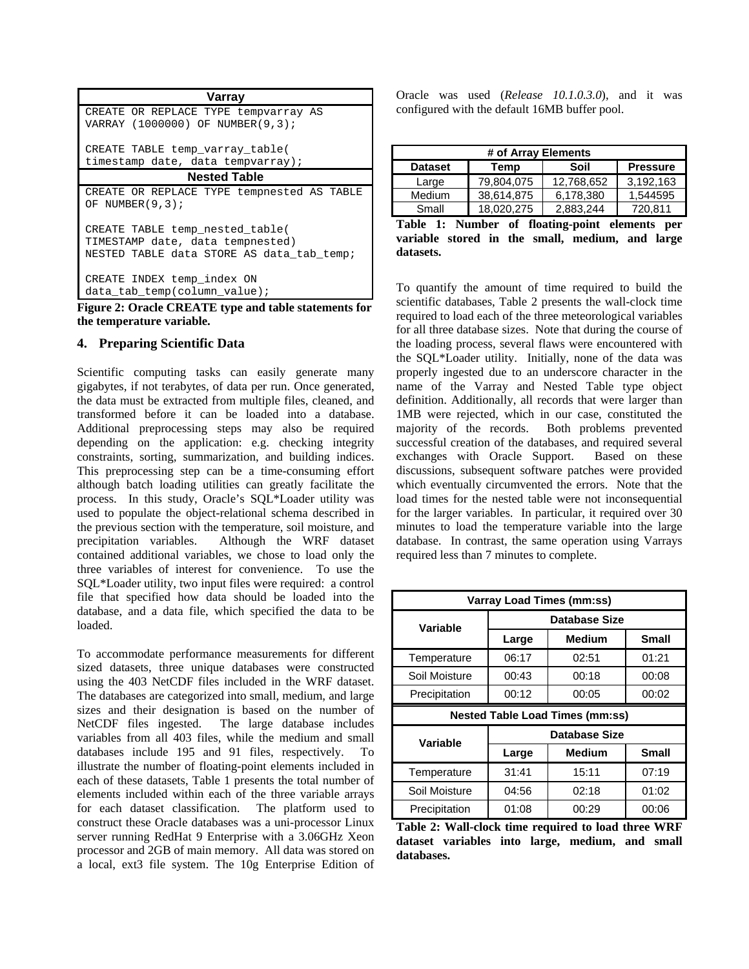| Varray                                                                                                           |
|------------------------------------------------------------------------------------------------------------------|
| CREATE OR REPLACE TYPE tempvarray AS                                                                             |
| VARRAY (1000000) OF NUMBER(9,3);                                                                                 |
| CREATE TABLE temp varray table(                                                                                  |
| timestamp date, data tempvarray);                                                                                |
| <b>Nested Table</b>                                                                                              |
| CREATE OR REPLACE TYPE tempnested AS TABLE                                                                       |
| OF NUMBER $(9,3)$ ;                                                                                              |
| CREATE TABLE temp_nested_table(<br>TIMESTAMP date, data tempnested)<br>NESTED TABLE data STORE AS data tab temp; |
| CREATE INDEX temp_index ON                                                                                       |
| data tab temp(column value);                                                                                     |

<span id="page-2-1"></span><span id="page-2-0"></span>**Figure 2: Oracle CREATE type and table statements for the temperature variable.** 

## **4. Preparing Scientific Data**

Scientific computing tasks can easily generate many gigabytes, if not terabytes, of data per run. Once generated, the data must be extracted from multiple files, cleaned, and transformed before it can be loaded into a database. Additional preprocessing steps may also be required depending on the application: e.g. checking integrity constraints, sorting, summarization, and building indices. This preprocessing step can be a time-consuming effort although batch loading utilities can greatly facilitate the process. In this study, Oracle's SQL\*Loader utility was used to populate the object-relational schema described in the previous section with the temperature, soil moisture, and precipitation variables. Although the WRF dataset contained additional variables, we chose to load only the three variables of interest for convenience. To use the SQL\*Loader utility, two input files were required: a control file that specified how data should be loaded into the database, and a data file, which specified the data to be loaded.

<span id="page-2-2"></span>To accommodate performance measurements for different sized datasets, three unique databases were constructed using the 403 NetCDF files included in the WRF dataset. The databases are categorized into small, medium, and large sizes and their designation is based on the number of NetCDF files ingested. The large database includes variables from all 403 files, while the medium and small databases include 195 and 91 files, respectively. To illustrate the number of floating-point elements included in each of these datasets, [Table 1](#page-2-1) presents the total number of elements included within each of the three variable arrays for each dataset classification. The platform used to construct these Oracle databases was a uni-processor Linux server running RedHat 9 Enterprise with a 3.06GHz Xeon processor and 2GB of main memory. All data was stored on a local, ext3 file system. The 10g Enterprise Edition of

Oracle was used (*Release 10.1.0.3.0*), and it was configured with the default 16MB buffer pool.

| # of Array Elements                               |            |            |           |  |  |  |  |
|---------------------------------------------------|------------|------------|-----------|--|--|--|--|
| Soil<br><b>Dataset</b><br>Temp<br><b>Pressure</b> |            |            |           |  |  |  |  |
| Large                                             | 79.804.075 | 12,768,652 | 3.192.163 |  |  |  |  |
| <b>Medium</b>                                     | 38,614,875 | 6,178,380  | 1.544595  |  |  |  |  |
| Small                                             | 18,020,275 | 2,883,244  | 720.811   |  |  |  |  |

| Table 1: Number of floating-point elements per  |  |  |  |  |
|-------------------------------------------------|--|--|--|--|
| variable stored in the small, medium, and large |  |  |  |  |
| datasets.                                       |  |  |  |  |

To quantify the amount of time required to build the scientific databases, [Table 2](#page-2-2) presents the wall-clock time required to load each of the three meteorological variables for all three database sizes. Note that during the course of the loading process, several flaws were encountered with the SQL\*Loader utility. Initially, none of the data was properly ingested due to an underscore character in the name of the Varray and Nested Table type object definition. Additionally, all records that were larger than 1MB were rejected, which in our case, constituted the majority of the records. Both problems prevented successful creation of the databases, and required several exchanges with Oracle Support. Based on these discussions, subsequent software patches were provided which eventually circumvented the errors. Note that the load times for the nested table were not inconsequential for the larger variables. In particular, it required over 30 minutes to load the temperature variable into the large database. In contrast, the same operation using Varrays required less than 7 minutes to complete.

| <b>Varray Load Times (mm:ss)</b>       |                         |                      |              |  |  |  |
|----------------------------------------|-------------------------|----------------------|--------------|--|--|--|
| Variable                               | <b>Database Size</b>    |                      |              |  |  |  |
|                                        | Medium<br>Large         |                      | <b>Small</b> |  |  |  |
| Temperature                            | 06:17                   | 02:51                | 01:21        |  |  |  |
| Soil Moisture                          | 00:43                   | 00:18                | 00:08        |  |  |  |
| Precipitation                          | 00:12<br>00:05<br>00:02 |                      |              |  |  |  |
| <b>Nested Table Load Times (mm:ss)</b> |                         |                      |              |  |  |  |
|                                        |                         |                      |              |  |  |  |
|                                        |                         | <b>Database Size</b> |              |  |  |  |
| Variable                               | Large                   | <b>Medium</b>        | <b>Small</b> |  |  |  |
| Temperature                            | 31:41                   | 15:11                | 07:19        |  |  |  |
| Soil Moisture                          | 04:56                   | 02:18                | 01:02        |  |  |  |

**Table 2: Wall-clock time required to load three WRF dataset variables into large, medium, and small databases.**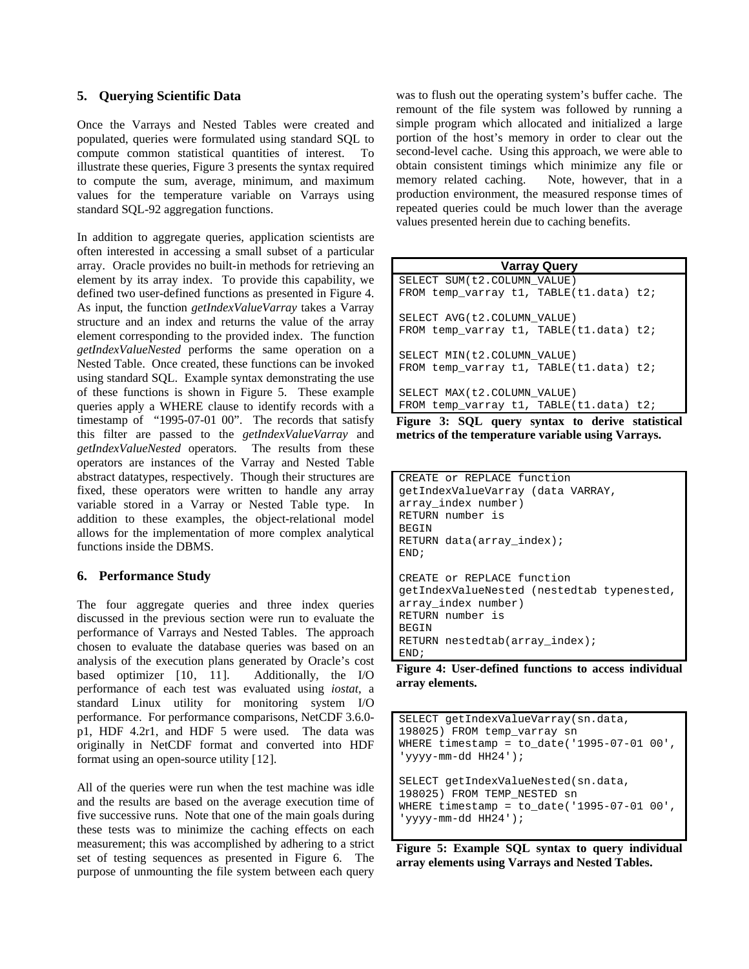## **5. Querying Scientific Data**

Once the Varrays and Nested Tables were created and populated, queries were formulated using standard SQL to compute common statistical quantities of interest. To illustrate these queries, [Figure 3](#page-3-0) presents the syntax required to compute the sum, average, minimum, and maximum values for the temperature variable on Varrays using standard SQL-92 aggregation functions.

In addition to aggregate queries, application scientists are often interested in accessing a small subset of a particular array. Oracle provides no built-in methods for retrieving an element by its array index. To provide this capability, we defined two user-defined functions as presented in [Figure 4.](#page-3-1) As input, the function *getIndexValueVarray* takes a Varray structure and an index and returns the value of the array element corresponding to the provided index. The function *getIndexValueNested* performs the same operation on a Nested Table. Once created, these functions can be invoked using standard SQL. Example syntax demonstrating the use of these functions is shown in [Figure 5](#page-3-2). These example queries apply a WHERE clause to identify records with a timestamp of "1995-07-01 00". The records that satisfy this filter are passed to the *getIndexValueVarray* and *getIndexValueNested* operators. The results from these operators are instances of the Varray and Nested Table abstract datatypes, respectively. Though their structures are fixed, these operators were written to handle any array variable stored in a Varray or Nested Table type. In addition to these examples, the object-relational model allows for the implementation of more complex analytical functions inside the DBMS.

## <span id="page-3-0"></span>**6. Performance Study**

<span id="page-3-1"></span>The four aggregate queries and three index queries discussed in the previous section were run to evaluate the performance of Varrays and Nested Tables. The approach chosen to evaluate the database queries was based on an analysis of the execution plans generated by Oracle's cost based optimizer [[10](#page-5-1), [11](#page-5-1)]. Additionally, the I/O performance of each test was evaluated using *iostat*, a standard Linux utility for monitoring system I/O performance. For performance comparisons, NetCDF 3.6.0 p1, HDF 4.2r1, and HDF 5 were used. The data was originally in NetCDF format and converted into HDF format using an open-source utility [[12](#page-5-1)].

<span id="page-3-2"></span>All of the queries were run when the test machine was idle and the results are based on the average execution time of five successive runs. Note that one of the main goals during these tests was to minimize the caching effects on each measurement; this was accomplished by adhering to a strict set of testing sequences as presented in [Figure 6](#page-4-0). The purpose of unmounting the file system between each query

was to flush out the operating system's buffer cache. The remount of the file system was followed by running a simple program which allocated and initialized a large portion of the host's memory in order to clear out the second-level cache. Using this approach, we were able to obtain consistent timings which minimize any file or memory related caching. Note, however, that in a production environment, the measured response times of repeated queries could be much lower than the average values presented herein due to caching benefits.

| <b>Varray Query</b>                     |  |  |  |  |  |  |
|-----------------------------------------|--|--|--|--|--|--|
| SELECT SUM (t2. COLUMN VALUE)           |  |  |  |  |  |  |
| FROM temp_varray t1, TABLE(t1.data) t2; |  |  |  |  |  |  |
| SELECT AVG (t2. COLUMN VALUE)           |  |  |  |  |  |  |
| FROM temp_varray t1, TABLE(t1.data) t2; |  |  |  |  |  |  |
| SELECT MIN(t2.COLUMN VALUE)             |  |  |  |  |  |  |
| FROM temp varray t1, TABLE(t1.data) t2; |  |  |  |  |  |  |
| SELECT MAX(t2.COLUMN VALUE)             |  |  |  |  |  |  |
| FROM temp_varray t1, TABLE(t1.data) t2; |  |  |  |  |  |  |

**Figure 3: SQL query syntax to derive statistical metrics of the temperature variable using Varrays.** 

```
CREATE or REPLACE function 
getIndexValueVarray (data VARRAY, 
array_index number) 
RETURN number is 
BEGIN
RETURN data(array_index); 
END; 
CREATE or REPLACE function 
getIndexValueNested (nestedtab typenested, 
array_index number) 
RETURN number is 
BEGIN
RETURN nestedtab(array_index); 
END;
```
**Figure 4: User-defined functions to access individual array elements.** 

```
SELECT getIndexValueVarray(sn.data, 
198025) FROM temp_varray sn 
WHERE timestamp = to date('1995-07-01 00',
'yyyy-mm-dd HH24'); 
SELECT getIndexValueNested(sn.data, 
198025) FROM TEMP_NESTED sn 
WHERE timestamp = to_date('1995-07-01 00', 
'yyyy-mm-dd HH24');
```
**Figure 5: Example SQL syntax to query individual array elements using Varrays and Nested Tables.**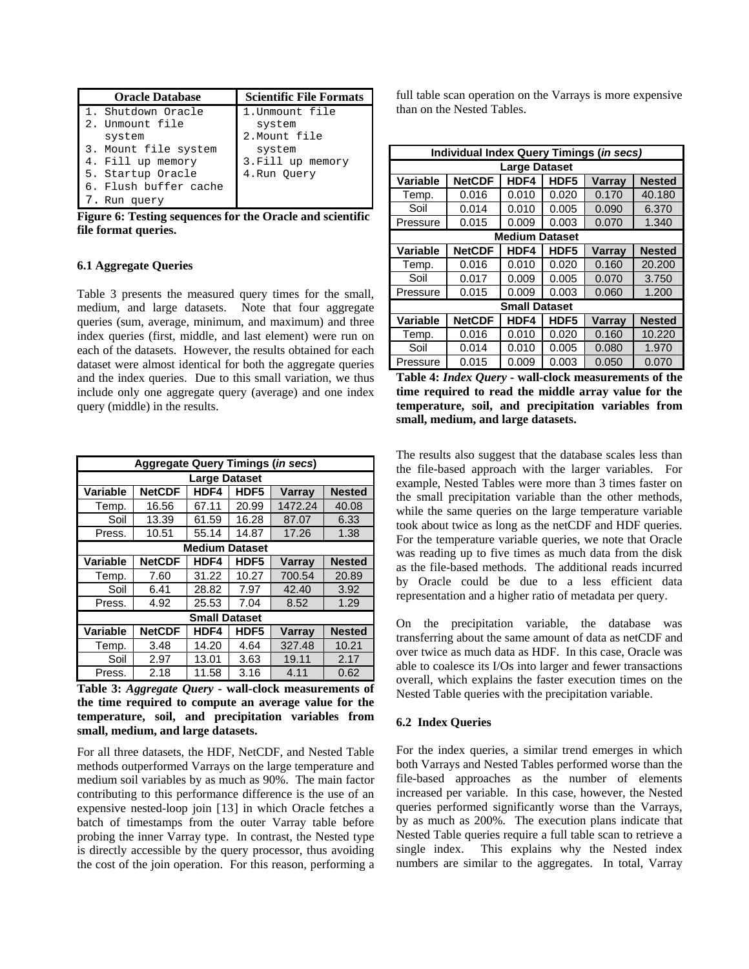| <b>Oracle Database</b> | <b>Scientific File Formats</b> |
|------------------------|--------------------------------|
| 1. Shutdown Oracle     | 1. Unmount file                |
| 2. Unmount file        | system                         |
| system                 | 2. Mount file                  |
| 3. Mount file system   | system                         |
| 4. Fill up memory      | 3. Fill up memory              |
| 5. Startup Oracle      | 4.Run Ouery                    |
| 6. Flush buffer cache  |                                |
| 7. Run query           |                                |

<span id="page-4-0"></span>**Figure 6: Testing sequences for the Oracle and scientific file format queries.** 

#### **6.1 Aggregate Queries**

[Table 3](#page-4-1) presents the measured query times for the small, medium, and large datasets. Note that four aggregate queries (sum, average, minimum, and maximum) and three index queries (first, middle, and last element) were run on each of the datasets. However, the results obtained for each dataset were almost identical for both the aggregate queries and the index queries. Due to this small variation, we thus include only one aggregate query (average) and one index query (middle) in the results.

| <b>Aggregate Query Timings (in secs)</b> |                      |                       |       |         |               |  |  |
|------------------------------------------|----------------------|-----------------------|-------|---------|---------------|--|--|
| <b>Large Dataset</b>                     |                      |                       |       |         |               |  |  |
| Variable                                 | <b>NetCDF</b>        | HDF4                  | HDF5  | Varray  | <b>Nested</b> |  |  |
| Temp.                                    | 16.56                | 67.11                 | 20.99 | 1472.24 | 40.08         |  |  |
| Soil                                     | 13.39                | 61.59                 | 16.28 | 87.07   | 6.33          |  |  |
| Press.                                   | 10.51                | 55.14                 | 14.87 | 17.26   | 1.38          |  |  |
|                                          |                      | <b>Medium Dataset</b> |       |         |               |  |  |
| Variable                                 | <b>NetCDF</b>        | <b>HDF4</b>           | HDF5  | Varray  | <b>Nested</b> |  |  |
| Temp.                                    | 7.60                 | 31.22                 | 10.27 | 700.54  | 20.89         |  |  |
| Soil                                     | 6.41                 | 28.82                 | 7.97  | 42.40   | 3.92          |  |  |
| Press.                                   | 4.92                 | 25.53                 | 7.04  | 8.52    | 1.29          |  |  |
|                                          | <b>Small Dataset</b> |                       |       |         |               |  |  |
| <b>Variable</b>                          | <b>NetCDF</b>        | <b>HDF4</b>           | HDF5  | Varray  | <b>Nested</b> |  |  |
| Temp.                                    | 3.48                 | 14.20                 | 4.64  | 327.48  | 10.21         |  |  |
| Soil                                     | 2.97                 | 13.01                 | 3.63  | 19.11   | 2.17          |  |  |
| Press.                                   | 2.18                 | 11.58                 | 3.16  | 4.11    | 0.62          |  |  |

<span id="page-4-1"></span>**Table 3:** *Aggregate Query* **- wall-clock measurements of the time required to compute an average value for the temperature, soil, and precipitation variables from small, medium, and large datasets.** 

For all three datasets, the HDF, NetCDF, and Nested Table methods outperformed Varrays on the large temperature and medium soil variables by as much as 90%. The main factor contributing to this performance difference is the use of an expensive nested-loop join [[13](#page-5-1)] in which Oracle fetches a batch of timestamps from the outer Varray table before probing the inner Varray type. In contrast, the Nested type is directly accessible by the query processor, thus avoiding the cost of the join operation. For this reason, performing a full table scan operation on the Varrays is more expensive than on the Nested Tables.

| Individual Index Query Timings (in secs) |               |                       |                  |               |               |  |  |
|------------------------------------------|---------------|-----------------------|------------------|---------------|---------------|--|--|
| <b>Large Dataset</b>                     |               |                       |                  |               |               |  |  |
| <b>Variable</b>                          | <b>NetCDF</b> | HDF4                  | HDF <sub>5</sub> | Varray        | <b>Nested</b> |  |  |
| Temp.                                    | 0.016         | 0.010                 | 0.020            | 0.170         | 40.180        |  |  |
| Soil                                     | 0.014         | 0.010                 | 0.005            | 0.090         | 6.370         |  |  |
| Pressure                                 | 0.015         | 0.009                 | 0.003            | 0.070         | 1.340         |  |  |
|                                          |               | <b>Medium Dataset</b> |                  |               |               |  |  |
| Variable                                 | <b>NetCDF</b> | HDF4                  | HDF5             | Varray        | <b>Nested</b> |  |  |
| Temp.                                    | 0.016         | 0.010                 | 0.020            | 0.160         | 20,200        |  |  |
| Soil                                     | 0.017         | 0.009                 | 0.005            | 0.070         | 3.750         |  |  |
| Pressure                                 | 0.015         | 0.009                 | 0.003            | 0.060         | 1.200         |  |  |
| <b>Small Dataset</b>                     |               |                       |                  |               |               |  |  |
| Variable                                 | <b>NetCDF</b> | HDF4                  | HDF5             | <b>Varray</b> | <b>Nested</b> |  |  |
| Temp.                                    | 0.016         | 0.010                 | 0.020            | 0.160         | 10.220        |  |  |
| Soil                                     | 0.014         | 0.010                 | 0.005            | 0.080         | 1.970         |  |  |
| Pressure                                 | 0.015         | 0.009                 | 0.003            | 0.050         | 0.070         |  |  |

**Table 4:** *Index Query* **- wall-clock measurements of the time required to read the middle array value for the temperature, soil, and precipitation variables from small, medium, and large datasets.** 

The results also suggest that the database scales less than the file-based approach with the larger variables. For example, Nested Tables were more than 3 times faster on the small precipitation variable than the other methods, while the same queries on the large temperature variable took about twice as long as the netCDF and HDF queries. For the temperature variable queries, we note that Oracle was reading up to five times as much data from the disk as the file-based methods. The additional reads incurred by Oracle could be due to a less efficient data representation and a higher ratio of metadata per query.

On the precipitation variable, the database was transferring about the same amount of data as netCDF and over twice as much data as HDF. In this case, Oracle was able to coalesce its I/Os into larger and fewer transactions overall, which explains the faster execution times on the Nested Table queries with the precipitation variable.

## **6.2 Index Queries**

For the index queries, a similar trend emerges in which both Varrays and Nested Tables performed worse than the file-based approaches as the number of elements increased per variable. In this case, however, the Nested queries performed significantly worse than the Varrays, by as much as 200%. The execution plans indicate that Nested Table queries require a full table scan to retrieve a single index. This explains why the Nested index numbers are similar to the aggregates. In total, Varray